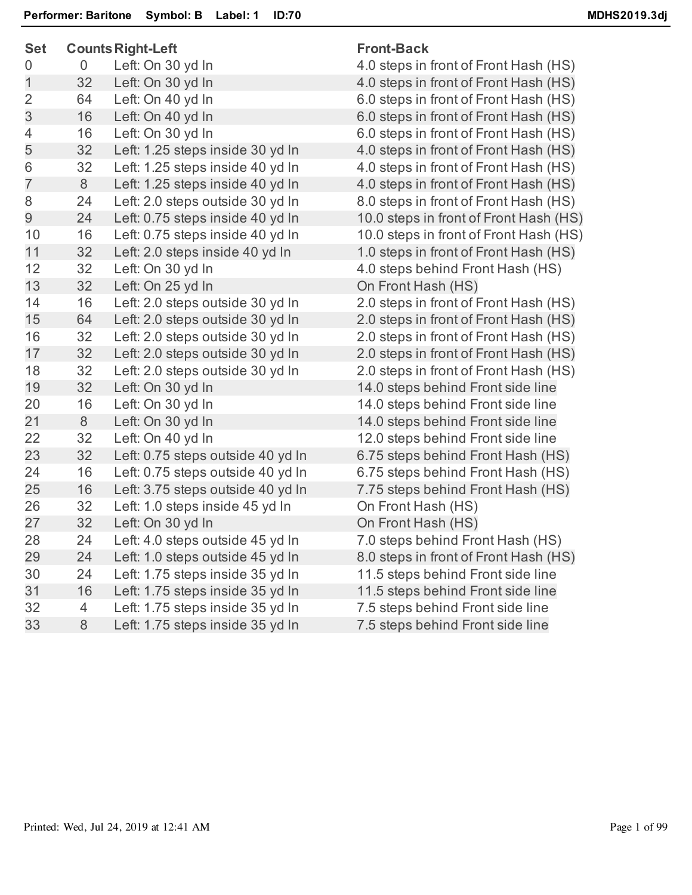| <b>Set</b>     |    | <b>Counts Right-Left</b>          | <b>Front-Back</b> |
|----------------|----|-----------------------------------|-------------------|
| 0              | 0  | Left: On 30 yd In                 | 4.0 steps in      |
| $\mathbf{1}$   | 32 | Left: On 30 yd In                 | 4.0 steps in      |
| $\overline{2}$ | 64 | Left: On 40 yd In                 | 6.0 steps in      |
| 3              | 16 | Left: On 40 yd In                 | 6.0 steps in      |
| 4              | 16 | Left: On 30 yd In                 | 6.0 steps in      |
| 5              | 32 | Left: 1.25 steps inside 30 yd In  | 4.0 steps in      |
| 6              | 32 | Left: 1.25 steps inside 40 yd In  | 4.0 steps in      |
| $\overline{7}$ | 8  | Left: 1.25 steps inside 40 yd In  | 4.0 steps in      |
| 8              | 24 | Left: 2.0 steps outside 30 yd In  | 8.0 steps in      |
| 9              | 24 | Left: 0.75 steps inside 40 yd In  | 10.0 steps in     |
| 10             | 16 | Left: 0.75 steps inside 40 yd In  | 10.0 steps in     |
| 11             | 32 | Left: 2.0 steps inside 40 yd In   | 1.0 steps in      |
| 12             | 32 | Left: On 30 yd In                 | 4.0 steps be      |
| 13             | 32 | Left: On 25 yd In                 | On Front Ha       |
| 14             | 16 | Left: 2.0 steps outside 30 yd In  | 2.0 steps in      |
| 15             | 64 | Left: 2.0 steps outside 30 yd In  | 2.0 steps in      |
| 16             | 32 | Left: 2.0 steps outside 30 yd In  | 2.0 steps in      |
| 17             | 32 | Left: 2.0 steps outside 30 yd In  | 2.0 steps in      |
| 18             | 32 | Left: 2.0 steps outside 30 yd In  | 2.0 steps in      |
| 19             | 32 | Left: On 30 yd In                 | 14.0 steps b      |
| 20             | 16 | Left: On 30 yd In                 | 14.0 steps b      |
| 21             | 8  | Left: On 30 yd In                 | 14.0 steps b      |
| 22             | 32 | Left: On 40 yd In                 | 12.0 steps b      |
| 23             | 32 | Left: 0.75 steps outside 40 yd In | 6.75 steps b      |
| 24             | 16 | Left: 0.75 steps outside 40 yd In | 6.75 steps b      |
| 25             | 16 | Left: 3.75 steps outside 40 yd In | 7.75 steps b      |
| 26             | 32 | Left: 1.0 steps inside 45 yd In   | On Front Ha       |
| 27             | 32 | Left: On 30 yd In                 | On Front Ha       |
| 28             | 24 | Left: 4.0 steps outside 45 yd In  | 7.0 steps be      |
| 29             | 24 | Left: 1.0 steps outside 45 yd In  | 8.0 steps in      |
| 30             | 24 | Left: 1.75 steps inside 35 yd In  | 11.5 steps $k$    |
| 31             | 16 | Left: 1.75 steps inside 35 yd In  | 11.5 steps $k$    |
| 32             | 4  | Left: 1.75 steps inside 35 yd In  | 7.5 steps be      |
| 33             | 8  | Left: 1.75 steps inside 35 yd In  | 7.5 steps be      |
|                |    |                                   |                   |

n front of Front Hash (HS) 1 front of Front Hash (HS) 1 front of Front Hash (HS) 1 front of Front Hash (HS) 1 front of Front Hash (HS) 1 front of Front Hash (HS) 1 front of Front Hash (HS) front of Front Hash (HS) 1 front of Front Hash (HS) in front of Front Hash (HS) in front of Front Hash (HS) 1 front of Front Hash (HS) ehind Front Hash (HS) ash (HS) 1 front of Front Hash (HS) 1 front of Front Hash (HS) 1 front of Front Hash (HS) 1 front of Front Hash (HS) 1 front of Front Hash (HS) behind Front side line behind Front side line behind Front side line behind Front side line behind Front Hash (HS) behind Front Hash (HS) behind Front Hash (HS) ash (HS) ash (HS) ehind Front Hash (HS) 1 front of Front Hash (HS) behind Front side line behind Front side line ehind Front side line ehind Front side line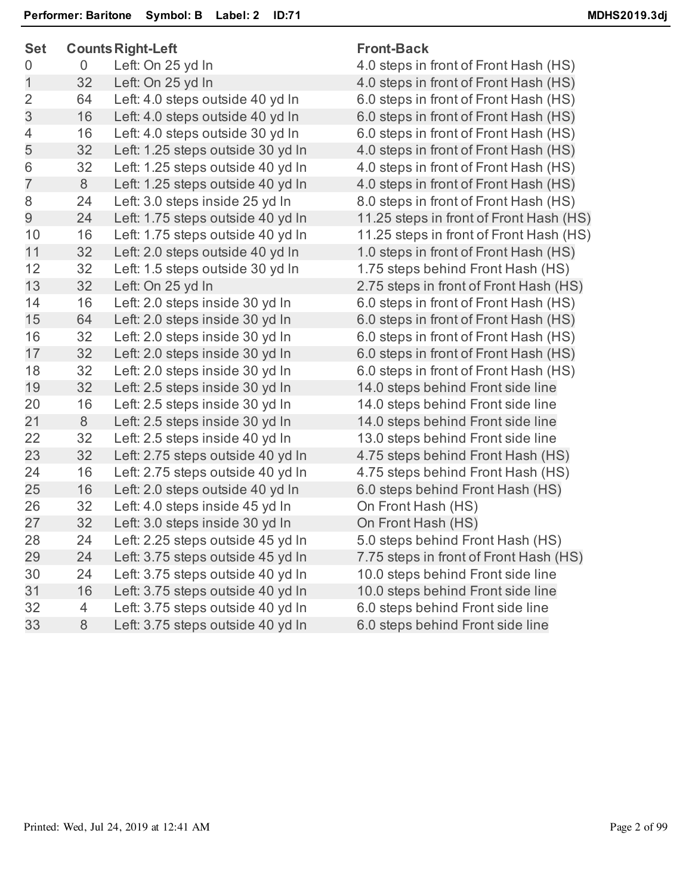| <b>Set</b>     |    | <b>Counts Right-Left</b>          | <b>Front-Back</b>                       |  |
|----------------|----|-----------------------------------|-----------------------------------------|--|
| $\overline{0}$ | 0  | Left: On 25 yd In                 | 4.0 steps in front of Front Hash (HS)   |  |
| 1              | 32 | Left: On 25 yd In                 | 4.0 steps in front of Front Hash (HS)   |  |
| $\overline{2}$ | 64 | Left: 4.0 steps outside 40 yd In  | 6.0 steps in front of Front Hash (HS)   |  |
| 3              | 16 | Left: 4.0 steps outside 40 yd In  | 6.0 steps in front of Front Hash (HS)   |  |
| 4              | 16 | Left: 4.0 steps outside 30 yd In  | 6.0 steps in front of Front Hash (HS)   |  |
| 5              | 32 | Left: 1.25 steps outside 30 yd In | 4.0 steps in front of Front Hash (HS)   |  |
| 6              | 32 | Left: 1.25 steps outside 40 yd In | 4.0 steps in front of Front Hash (HS)   |  |
| $\overline{7}$ | 8  | Left: 1.25 steps outside 40 yd In | 4.0 steps in front of Front Hash (HS)   |  |
| 8              | 24 | Left: 3.0 steps inside 25 yd In   | 8.0 steps in front of Front Hash (HS)   |  |
| 9              | 24 | Left: 1.75 steps outside 40 yd In | 11.25 steps in front of Front Hash (HS) |  |
| 10             | 16 | Left: 1.75 steps outside 40 yd In | 11.25 steps in front of Front Hash (HS) |  |
| 11             | 32 | Left: 2.0 steps outside 40 yd In  | 1.0 steps in front of Front Hash (HS)   |  |
| 12             | 32 | Left: 1.5 steps outside 30 yd In  | 1.75 steps behind Front Hash (HS)       |  |
| 13             | 32 | Left: On 25 yd In                 | 2.75 steps in front of Front Hash (HS)  |  |
| 14             | 16 | Left: 2.0 steps inside 30 yd In   | 6.0 steps in front of Front Hash (HS)   |  |
| 15             | 64 | Left: 2.0 steps inside 30 yd In   | 6.0 steps in front of Front Hash (HS)   |  |
| 16             | 32 | Left: 2.0 steps inside 30 yd In   | 6.0 steps in front of Front Hash (HS)   |  |
| 17             | 32 | Left: 2.0 steps inside 30 yd In   | 6.0 steps in front of Front Hash (HS)   |  |
| 18             | 32 | Left: 2.0 steps inside 30 yd In   | 6.0 steps in front of Front Hash (HS)   |  |
| 19             | 32 | Left: 2.5 steps inside 30 yd In   | 14.0 steps behind Front side line       |  |
| 20             | 16 | Left: 2.5 steps inside 30 yd In   | 14.0 steps behind Front side line       |  |
| 21             | 8  | Left: 2.5 steps inside 30 yd In   | 14.0 steps behind Front side line       |  |
| 22             | 32 | Left: 2.5 steps inside 40 yd In   | 13.0 steps behind Front side line       |  |
| 23             | 32 | Left: 2.75 steps outside 40 yd In | 4.75 steps behind Front Hash (HS)       |  |
| 24             | 16 | Left: 2.75 steps outside 40 yd In | 4.75 steps behind Front Hash (HS)       |  |
| 25             | 16 | Left: 2.0 steps outside 40 yd In  | 6.0 steps behind Front Hash (HS)        |  |
| 26             | 32 | Left: 4.0 steps inside 45 yd In   | On Front Hash (HS)                      |  |
| 27             | 32 | Left: 3.0 steps inside 30 yd In   | On Front Hash (HS)                      |  |
| 28             | 24 | Left: 2.25 steps outside 45 yd In | 5.0 steps behind Front Hash (HS)        |  |
| 29             | 24 | Left: 3.75 steps outside 45 yd In | 7.75 steps in front of Front Hash (HS)  |  |
| 30             | 24 | Left: 3.75 steps outside 40 yd In | 10.0 steps behind Front side line       |  |
| 31             | 16 | Left: 3.75 steps outside 40 yd In | 10.0 steps behind Front side line       |  |
| 32             | 4  | Left: 3.75 steps outside 40 yd In | 6.0 steps behind Front side line        |  |
| 33             | 8  | Left: 3.75 steps outside 40 yd In | 6.0 steps behind Front side line        |  |
|                |    |                                   |                                         |  |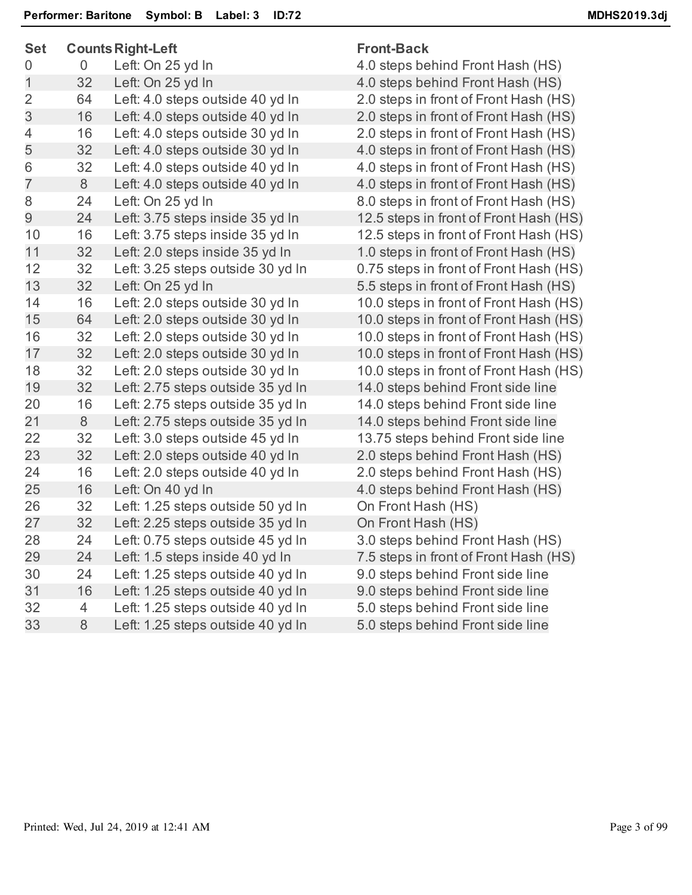| つにし            |                | Counts Night-Left                 | ι ινικ-ρασκ             |
|----------------|----------------|-----------------------------------|-------------------------|
| 0              | $\overline{0}$ | Left: On 25 yd In                 | 4.0 steps behind Fro    |
| $\mathbf 1$    | 32             | Left: On 25 yd In                 | 4.0 steps behind Fro    |
| $\overline{2}$ | 64             | Left: 4.0 steps outside 40 yd In  | 2.0 steps in front of I |
| 3              | 16             | Left: 4.0 steps outside 40 yd In  | 2.0 steps in front of I |
| 4              | 16             | Left: 4.0 steps outside 30 yd In  | 2.0 steps in front of I |
| 5              | 32             | Left: 4.0 steps outside 30 yd In  | 4.0 steps in front of I |
| 6              | 32             | Left: 4.0 steps outside 40 yd In  | 4.0 steps in front of I |
| $\overline{7}$ | 8              | Left: 4.0 steps outside 40 yd In  | 4.0 steps in front of I |
| 8              | 24             | Left: On 25 yd In                 | 8.0 steps in front of I |
| 9              | 24             | Left: 3.75 steps inside 35 yd In  | 12.5 steps in front of  |
| 10             | 16             | Left: 3.75 steps inside 35 yd In  | 12.5 steps in front of  |
| 11             | 32             | Left: 2.0 steps inside 35 yd In   | 1.0 steps in front of I |
| 12             | 32             | Left: 3.25 steps outside 30 yd In | 0.75 steps in front of  |
| 13             | 32             | Left: On 25 yd In                 | 5.5 steps in front of I |
| 14             | 16             | Left: 2.0 steps outside 30 yd In  | 10.0 steps in front of  |
| 15             | 64             | Left: 2.0 steps outside 30 yd In  | 10.0 steps in front of  |
| 16             | 32             | Left: 2.0 steps outside 30 yd In  | 10.0 steps in front of  |
| 17             | 32             | Left: 2.0 steps outside 30 yd In  | 10.0 steps in front of  |
| 18             | 32             | Left: 2.0 steps outside 30 yd In  | 10.0 steps in front of  |
| 19             | 32             | Left: 2.75 steps outside 35 yd In | 14.0 steps behind F     |
| 20             | 16             | Left: 2.75 steps outside 35 yd In | 14.0 steps behind F     |
| 21             | 8              | Left: 2.75 steps outside 35 yd In | 14.0 steps behind F     |
| 22             | 32             | Left: 3.0 steps outside 45 yd In  | 13.75 steps behind      |
| 23             | 32             | Left: 2.0 steps outside 40 yd In  | 2.0 steps behind Fro    |
| 24             | 16             | Left: 2.0 steps outside 40 yd In  | 2.0 steps behind Fro    |
| 25             | 16             | Left: On 40 yd In                 | 4.0 steps behind Fro    |
| 26             | 32             | Left: 1.25 steps outside 50 yd In | On Front Hash (HS)      |
| 27             | 32             | Left: 2.25 steps outside 35 yd In | On Front Hash (HS)      |
| 28             | 24             | Left: 0.75 steps outside 45 yd In | 3.0 steps behind Fro    |
| 29             | 24             | Left: 1.5 steps inside 40 yd In   | 7.5 steps in front of I |
| 30             | 24             | Left: 1.25 steps outside 40 yd In | 9.0 steps behind Fro    |
| 31             | 16             | Left: 1.25 steps outside 40 yd In | 9.0 steps behind Fro    |
| 32             | 4              | Left: 1.25 steps outside 40 yd In | 5.0 steps behind Fro    |
| 33             | 8              | Left: 1.25 steps outside 40 yd In | 5.0 steps behind Fro    |
|                |                |                                   |                         |

## **Set CountsRight-Left Front-Back**

ehind Front Hash (HS) ehind Front Hash (HS) front of Front Hash (HS) front of Front Hash (HS) front of Front Hash (HS) front of Front Hash (HS) front of Front Hash (HS) front of Front Hash (HS) front of Front Hash (HS) n front of Front Hash (HS) n front of Front Hash (HS) front of Front Hash (HS) n front of Front Hash (HS) front of Front Hash (HS) n front of Front Hash (HS) n front of Front Hash (HS) n front of Front Hash (HS) n front of Front Hash (HS) n front of Front Hash (HS) behind Front side line behind Front side line behind Front side line behind Front side line ehind Front Hash (HS) ehind Front Hash (HS) ehind Front Hash (HS) ehind Front Hash (HS) front of Front Hash (HS) **Examelerie 1.25 sheeft:** 1.25 steps on 1.25 steps behind Front side line **Shind Front side line** ehind Front side line **Shind Front side line**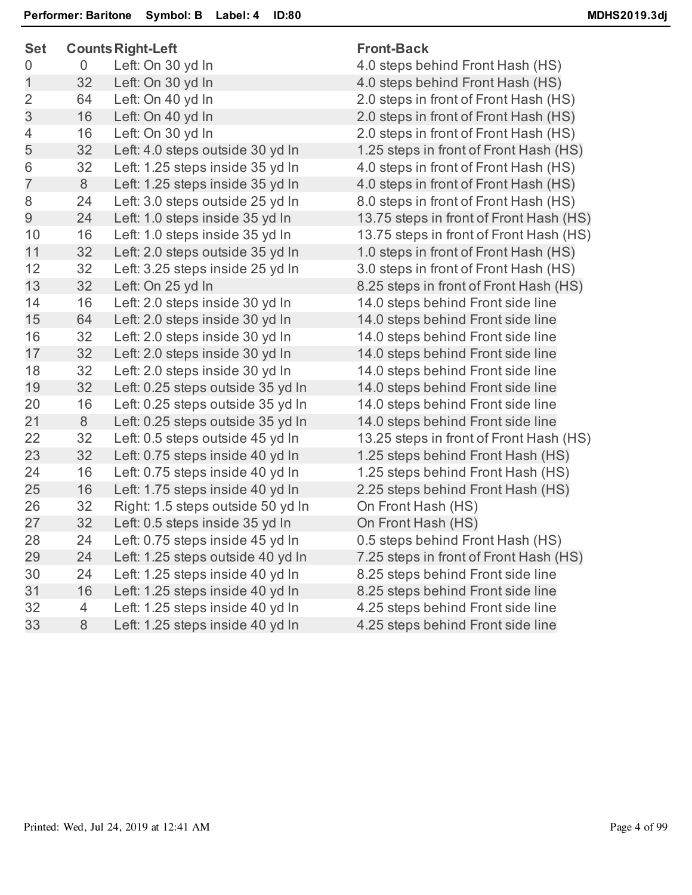| <b>Set</b>     |    | <b>Counts Right-Left</b>          | <b>Front-Back</b>                       |
|----------------|----|-----------------------------------|-----------------------------------------|
| 0              | 0  | Left: On 30 yd In                 | 4.0 steps behind Front Hash (HS)        |
| 1              | 32 | Left: On 30 yd In                 | 4.0 steps behind Front Hash (HS)        |
| $\overline{2}$ | 64 | Left: On 40 yd In                 | 2.0 steps in front of Front Hash (HS)   |
| 3              | 16 | Left: On 40 yd In                 | 2.0 steps in front of Front Hash (HS)   |
| 4              | 16 | Left: On 30 yd In                 | 2.0 steps in front of Front Hash (HS)   |
| 5              | 32 | Left: 4.0 steps outside 30 yd In  | 1.25 steps in front of Front Hash (HS)  |
| 6              | 32 | Left: 1.25 steps inside 35 yd In  | 4.0 steps in front of Front Hash (HS)   |
| $\overline{7}$ | 8  | Left: 1.25 steps inside 35 yd In  | 4.0 steps in front of Front Hash (HS)   |
| 8              | 24 | Left: 3.0 steps outside 25 yd In  | 8.0 steps in front of Front Hash (HS)   |
| 9              | 24 | Left: 1.0 steps inside 35 yd In   | 13.75 steps in front of Front Hash (HS) |
| 10             | 16 | Left: 1.0 steps inside 35 yd In   | 13.75 steps in front of Front Hash (HS) |
| 11             | 32 | Left: 2.0 steps outside 35 yd In  | 1.0 steps in front of Front Hash (HS)   |
| 12             | 32 | Left: 3.25 steps inside 25 yd In  | 3.0 steps in front of Front Hash (HS)   |
| 13             | 32 | Left: On 25 yd In                 | 8.25 steps in front of Front Hash (HS)  |
| 14             | 16 | Left: 2.0 steps inside 30 yd In   | 14.0 steps behind Front side line       |
| 15             | 64 | Left: 2.0 steps inside 30 yd In   | 14.0 steps behind Front side line       |
| 16             | 32 | Left: 2.0 steps inside 30 yd In   | 14.0 steps behind Front side line       |
| 17             | 32 | Left: 2.0 steps inside 30 yd In   | 14.0 steps behind Front side line       |
| 18             | 32 | Left: 2.0 steps inside 30 yd In   | 14.0 steps behind Front side line       |
| 19             | 32 | Left: 0.25 steps outside 35 yd In | 14.0 steps behind Front side line       |
| 20             | 16 | Left: 0.25 steps outside 35 yd In | 14.0 steps behind Front side line       |
| 21             | 8  | Left: 0.25 steps outside 35 yd In | 14.0 steps behind Front side line       |
| 22             | 32 | Left: 0.5 steps outside 45 yd In  | 13.25 steps in front of Front Hash (HS) |
| 23             | 32 | Left: 0.75 steps inside 40 yd In  | 1.25 steps behind Front Hash (HS)       |
| 24             | 16 | Left: 0.75 steps inside 40 yd In  | 1.25 steps behind Front Hash (HS)       |
| 25             | 16 | Left: 1.75 steps inside 40 yd In  | 2.25 steps behind Front Hash (HS)       |
| 26             | 32 | Right: 1.5 steps outside 50 yd In | On Front Hash (HS)                      |
| 27             | 32 | Left: 0.5 steps inside 35 yd In   | On Front Hash (HS)                      |
| 28             | 24 | Left: 0.75 steps inside 45 yd In  | 0.5 steps behind Front Hash (HS)        |
| 29             | 24 | Left: 1.25 steps outside 40 yd In | 7.25 steps in front of Front Hash (HS)  |
| 30             | 24 | Left: 1.25 steps inside 40 yd In  | 8.25 steps behind Front side line       |
| 31             | 16 | Left: 1.25 steps inside 40 yd In  | 8.25 steps behind Front side line       |
| 32             | 4  | Left: 1.25 steps inside 40 yd In  | 4.25 steps behind Front side line       |
| 33             | 8  | Left: 1.25 steps inside 40 yd In  | 4.25 steps behind Front side line       |
|                |    |                                   |                                         |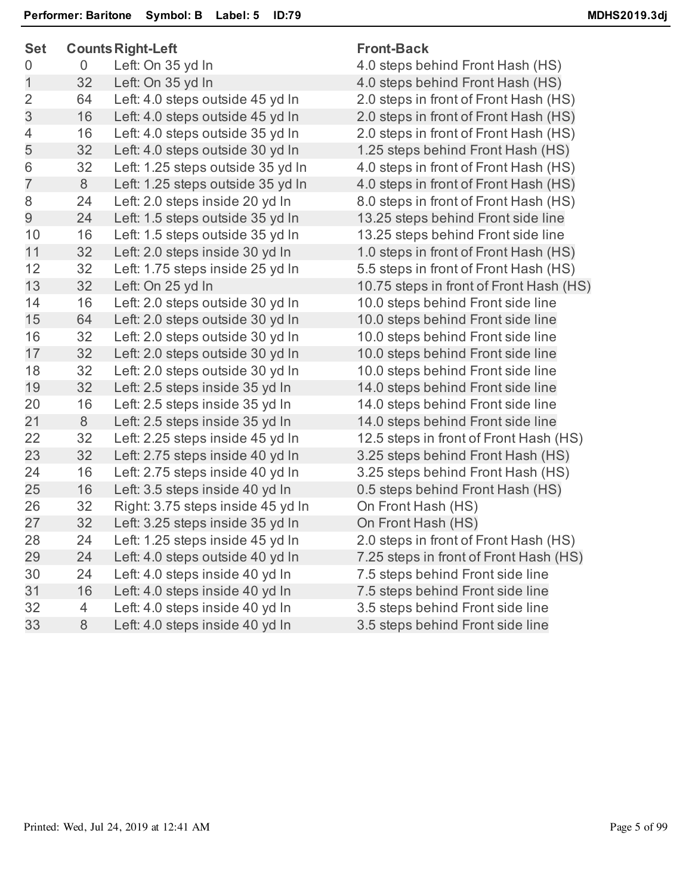| <b>Set</b>     |                | <b>Counts Right-Left</b>          | <b>Front-Back</b>                       |  |
|----------------|----------------|-----------------------------------|-----------------------------------------|--|
| 0              | $\overline{0}$ | Left: On 35 yd In                 | 4.0 steps behind Front Hash (HS)        |  |
| $\mathbf 1$    | 32             | Left: On 35 yd In                 | 4.0 steps behind Front Hash (HS)        |  |
| $\overline{2}$ | 64             | Left: 4.0 steps outside 45 yd In  | 2.0 steps in front of Front Hash (HS)   |  |
| 3              | 16             | Left: 4.0 steps outside 45 yd In  | 2.0 steps in front of Front Hash (HS)   |  |
| 4              | 16             | Left: 4.0 steps outside 35 yd In  | 2.0 steps in front of Front Hash (HS)   |  |
| 5              | 32             | Left: 4.0 steps outside 30 yd In  | 1.25 steps behind Front Hash (HS)       |  |
| 6              | 32             | Left: 1.25 steps outside 35 yd In | 4.0 steps in front of Front Hash (HS)   |  |
| $\overline{7}$ | 8              | Left: 1.25 steps outside 35 yd In | 4.0 steps in front of Front Hash (HS)   |  |
| 8              | 24             | Left: 2.0 steps inside 20 yd In   | 8.0 steps in front of Front Hash (HS)   |  |
| 9              | 24             | Left: 1.5 steps outside 35 yd In  | 13.25 steps behind Front side line      |  |
| 10             | 16             | Left: 1.5 steps outside 35 yd In  | 13.25 steps behind Front side line      |  |
| 11             | 32             | Left: 2.0 steps inside 30 yd In   | 1.0 steps in front of Front Hash (HS)   |  |
| 12             | 32             | Left: 1.75 steps inside 25 yd In  | 5.5 steps in front of Front Hash (HS)   |  |
| 13             | 32             | Left: On 25 yd In                 | 10.75 steps in front of Front Hash (HS) |  |
| 14             | 16             | Left: 2.0 steps outside 30 yd In  | 10.0 steps behind Front side line       |  |
| 15             | 64             | Left: 2.0 steps outside 30 yd In  | 10.0 steps behind Front side line       |  |
| 16             | 32             | Left: 2.0 steps outside 30 yd In  | 10.0 steps behind Front side line       |  |
| 17             | 32             | Left: 2.0 steps outside 30 yd In  | 10.0 steps behind Front side line       |  |
| 18             | 32             | Left: 2.0 steps outside 30 yd In  | 10.0 steps behind Front side line       |  |
| 19             | 32             | Left: 2.5 steps inside 35 yd In   | 14.0 steps behind Front side line       |  |
| 20             | 16             | Left: 2.5 steps inside 35 yd In   | 14.0 steps behind Front side line       |  |
| 21             | 8              | Left: 2.5 steps inside 35 yd In   | 14.0 steps behind Front side line       |  |
| 22             | 32             | Left: 2.25 steps inside 45 yd In  | 12.5 steps in front of Front Hash (HS)  |  |
| 23             | 32             | Left: 2.75 steps inside 40 yd In  | 3.25 steps behind Front Hash (HS)       |  |
| 24             | 16             | Left: 2.75 steps inside 40 yd In  | 3.25 steps behind Front Hash (HS)       |  |
| 25             | 16             | Left: 3.5 steps inside 40 yd In   | 0.5 steps behind Front Hash (HS)        |  |
| 26             | 32             | Right: 3.75 steps inside 45 yd In | On Front Hash (HS)                      |  |
| 27             | 32             | Left: 3.25 steps inside 35 yd In  | On Front Hash (HS)                      |  |
| 28             | 24             | Left: 1.25 steps inside 45 yd In  | 2.0 steps in front of Front Hash (HS)   |  |
| 29             | 24             | Left: 4.0 steps outside 40 yd In  | 7.25 steps in front of Front Hash (HS)  |  |
| 30             | 24             | Left: 4.0 steps inside 40 yd In   | 7.5 steps behind Front side line        |  |
| 31             | 16             | Left: 4.0 steps inside 40 yd In   | 7.5 steps behind Front side line        |  |
| 32             | $\overline{4}$ | Left: 4.0 steps inside 40 yd In   | 3.5 steps behind Front side line        |  |
| 33             | 8              | Left: 4.0 steps inside 40 yd In   | 3.5 steps behind Front side line        |  |